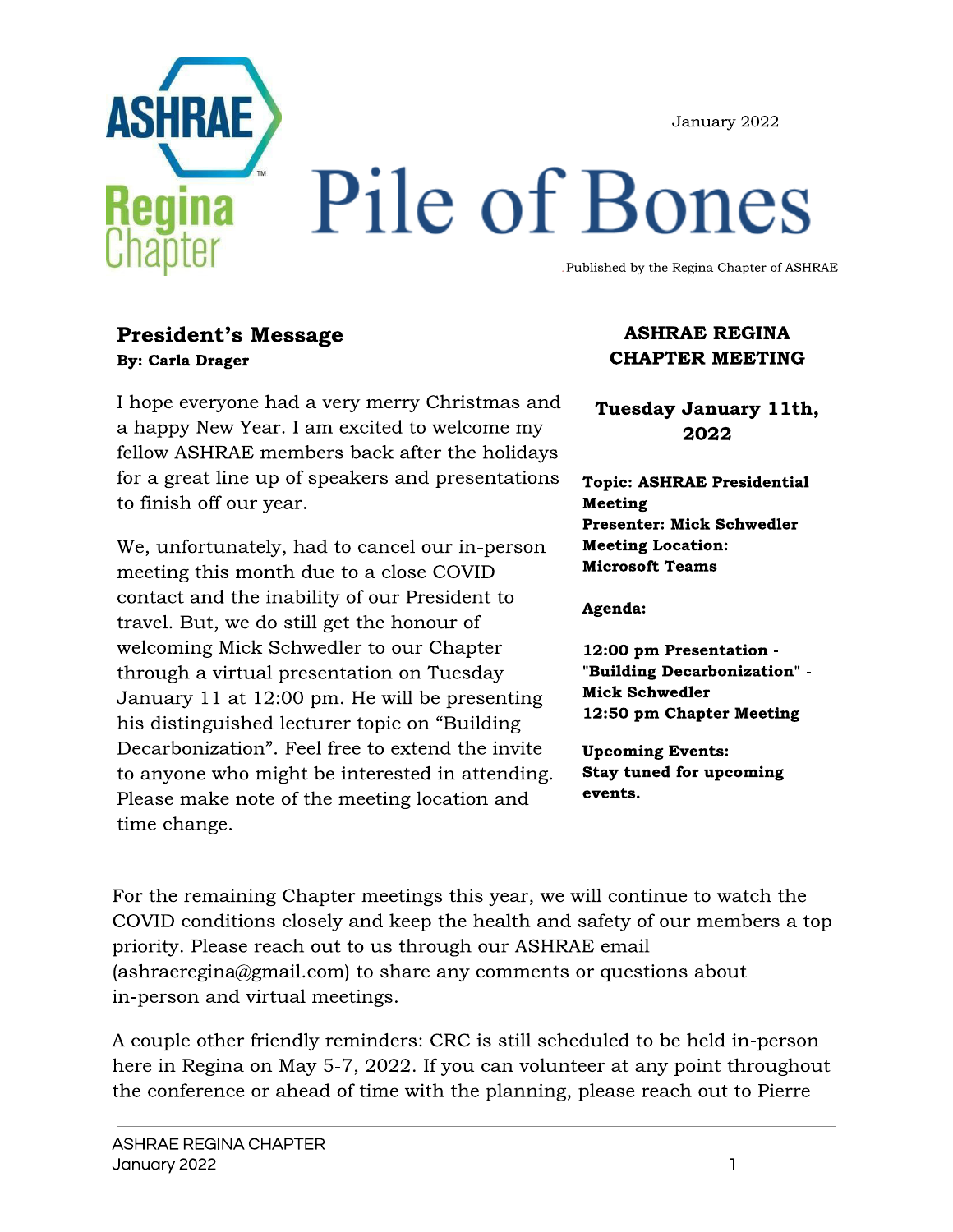January 2022



# Pile of Bones

Published by the Regina Chapter of ASHRAE

#### **President's Message By: Carla Drager**

I hope everyone had a very merry Christmas and a happy New Year. I am excited to welcome my fellow ASHRAE members back after the holidays for a great line up of speakers and presentations to finish off our year.

We, unfortunately, had to cancel our in-person meeting this month due to a close COVID contact and the inability of our President to travel. But, we do still get the honour of welcoming Mick Schwedler to our Chapter through a virtual presentation on Tuesday January 11 at 12:00 pm. He will be presenting his distinguished lecturer topic on "Building Decarbonization". Feel free to extend the invite to anyone who might be interested in attending. Please make note of the meeting location and time change.

#### **ASHRAE REGINA CHAPTER MEETING**

Tuesday January 11th, 2022

**Topic: ASHRAE Presidential Meeting Presenter: Mick Schwedler Meeting Location: Microsoft Teams** 

Agenda:

12:00 pm Presentation -"Building Decarbonization" -**Mick Schwedler** 12:50 pm Chapter Meeting

**Upcoming Events: Stay tuned for upcoming** events.

For the remaining Chapter meetings this year, we will continue to watch the COVID conditions closely and keep the health and safety of our members a top priority. Please reach out to us through our ASHRAE email (ashraeregina@gmail.com) to share any comments or questions about in-person and virtual meetings.

A couple other friendly reminders: CRC is still scheduled to be held in-person here in Regina on May 5-7, 2022. If you can volunteer at any point throughout the conference or ahead of time with the planning, please reach out to Pierre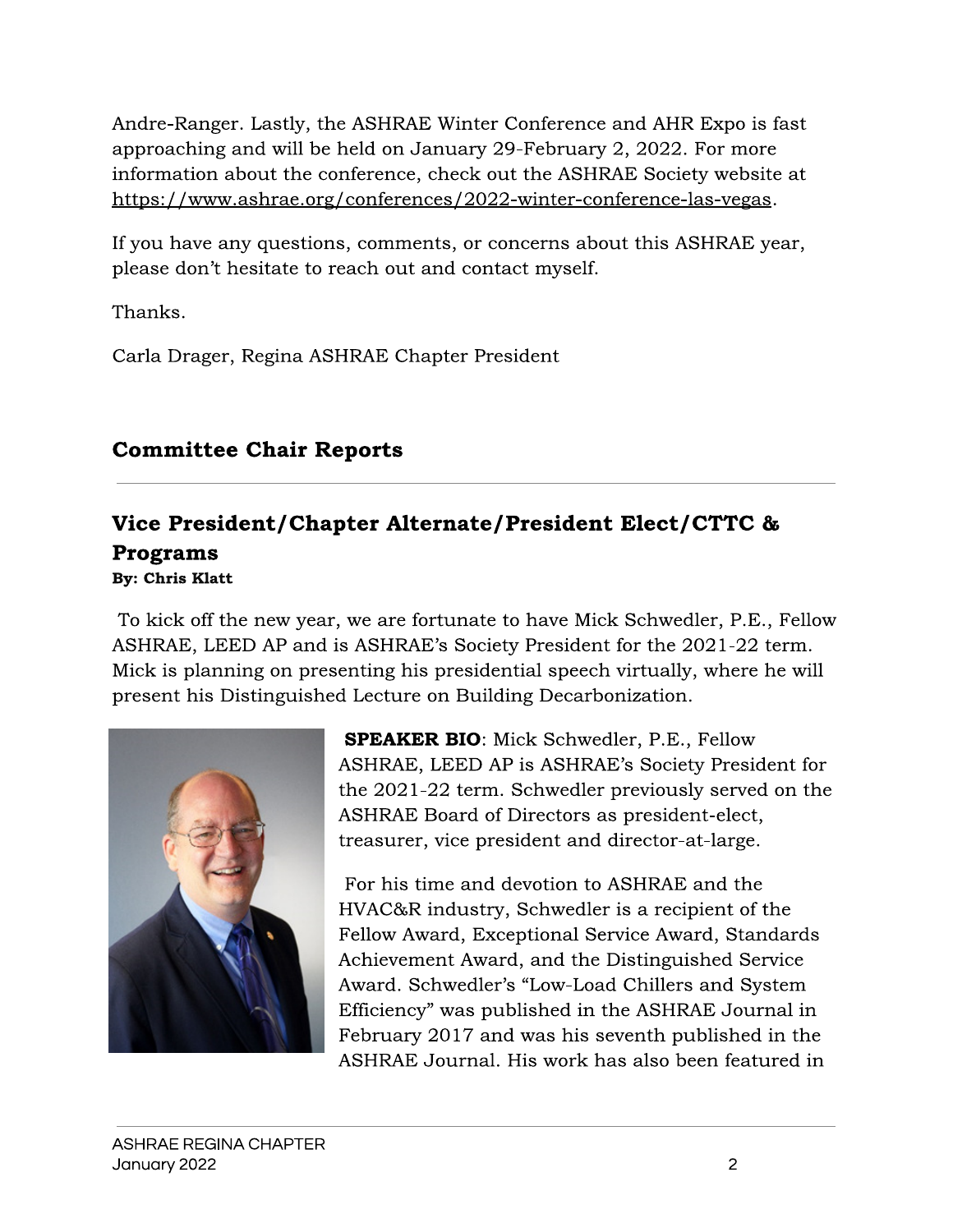Andre-Ranger. Lastly, the ASHRAE Winter Conference and AHR Expo is fast approaching and will be held on January 29-February 2, 2022. For more information about the conference, check out the ASHRAE Society website at https://www.ashrae.org/conferences/2022-winter-conference-las-vegas.

If you have any questions, comments, or concerns about this ASHRAE year, please don't hesitate to reach out and contact myself.

Thanks.

Carla Drager, Regina ASHRAE Chapter President

## **Committee Chair Reports**

#### Vice President/Chapter Alternate/President Elect/CTTC & **Programs By: Chris Klatt**

To kick off the new year, we are fortunate to have Mick Schwedler, P.E., Fellow ASHRAE, LEED AP and is ASHRAE's Society President for the 2021-22 term. Mick is planning on presenting his presidential speech virtually, where he will present his Distinguished Lecture on Building Decarbonization.



**SPEAKER BIO:** Mick Schwedler, P.E., Fellow ASHRAE, LEED AP is ASHRAE's Society President for the 2021-22 term. Schwedler previously served on the ASHRAE Board of Directors as president-elect, treasurer, vice president and director-at-large.

For his time and devotion to ASHRAE and the HVAC&R industry, Schwedler is a recipient of the Fellow Award, Exceptional Service Award, Standards Achievement Award, and the Distinguished Service Award. Schwedler's "Low-Load Chillers and System Efficiency" was published in the ASHRAE Journal in February 2017 and was his seventh published in the ASHRAE Journal. His work has also been featured in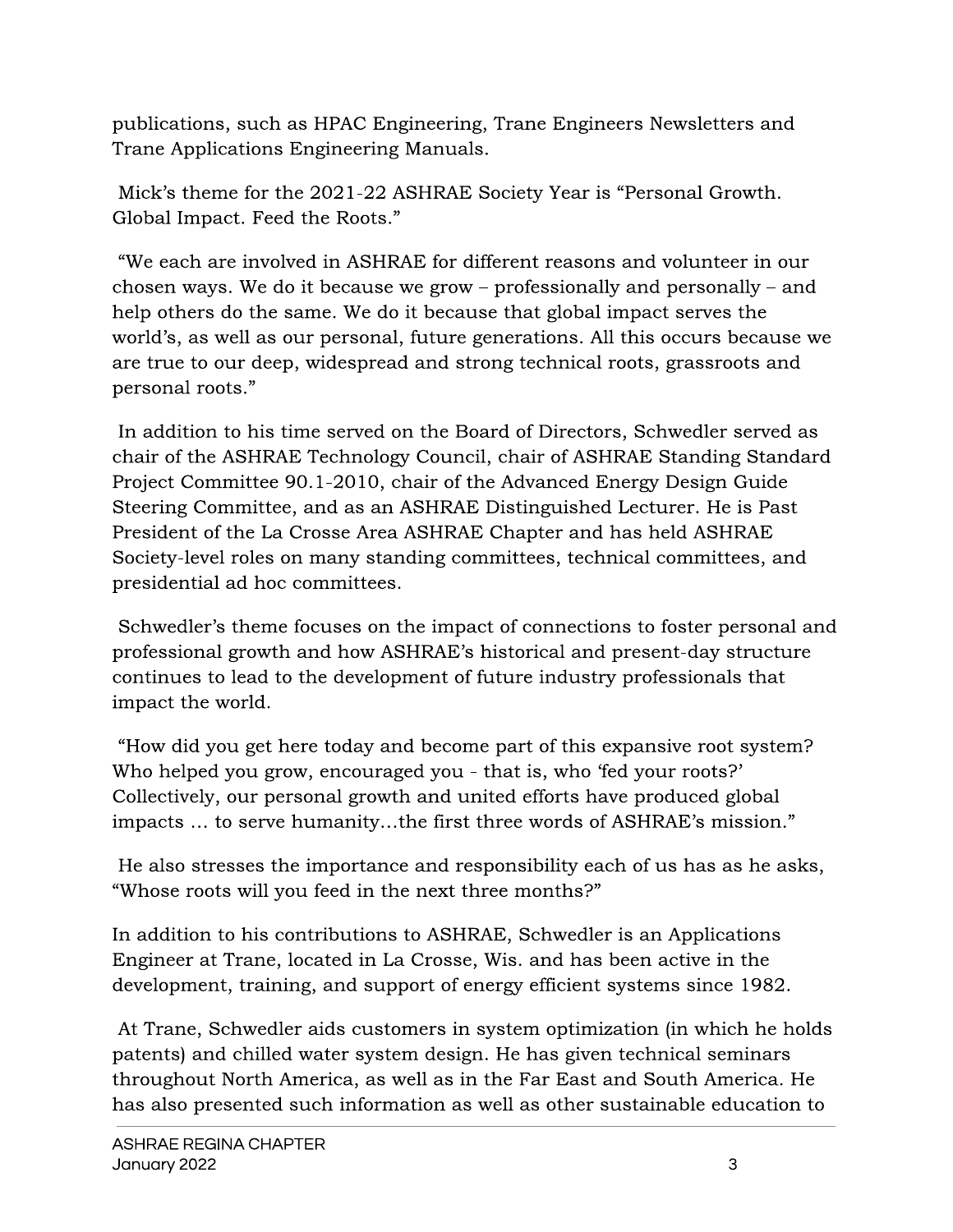publications, such as HPAC Engineering, Trane Engineers Newsletters and Trane Applications Engineering Manuals.

Mick's theme for the 2021-22 ASHRAE Society Year is "Personal Growth. Global Impact. Feed the Roots."

"We each are involved in ASHRAE for different reasons and volunteer in our chosen ways. We do it because we grow – professionally and personally – and help others do the same. We do it because that global impact serves the world's, as well as our personal, future generations. All this occurs because we are true to our deep, widespread and strong technical roots, grassroots and personal roots."

In addition to his time served on the Board of Directors, Schwedler served as chair of the ASHRAE Technology Council, chair of ASHRAE Standing Standard Project Committee 90.1-2010, chair of the Advanced Energy Design Guide Steering Committee, and as an ASHRAE Distinguished Lecturer. He is Past President of the La Crosse Area ASHRAE Chapter and has held ASHRAE Society-level roles on many standing committees, technical committees, and presidential ad hoc committees.

Schwedler's theme focuses on the impact of connections to foster personal and professional growth and how ASHRAE's historical and present-day structure continues to lead to the development of future industry professionals that impact the world.

"How did you get here today and become part of this expansive root system? Who helped you grow, encouraged you - that is, who 'fed your roots?' Collectively, our personal growth and united efforts have produced global impacts ... to serve humanity...the first three words of ASHRAE's mission."

He also stresses the importance and responsibility each of us has as he asks, "Whose roots will you feed in the next three months?"

In addition to his contributions to ASHRAE, Schwedler is an Applications Engineer at Trane, located in La Crosse, Wis. and has been active in the development, training, and support of energy efficient systems since 1982.

At Trane, Schwedler aids customers in system optimization (in which he holds patents) and chilled water system design. He has given technical seminars throughout North America, as well as in the Far East and South America. He has also presented such information as well as other sustainable education to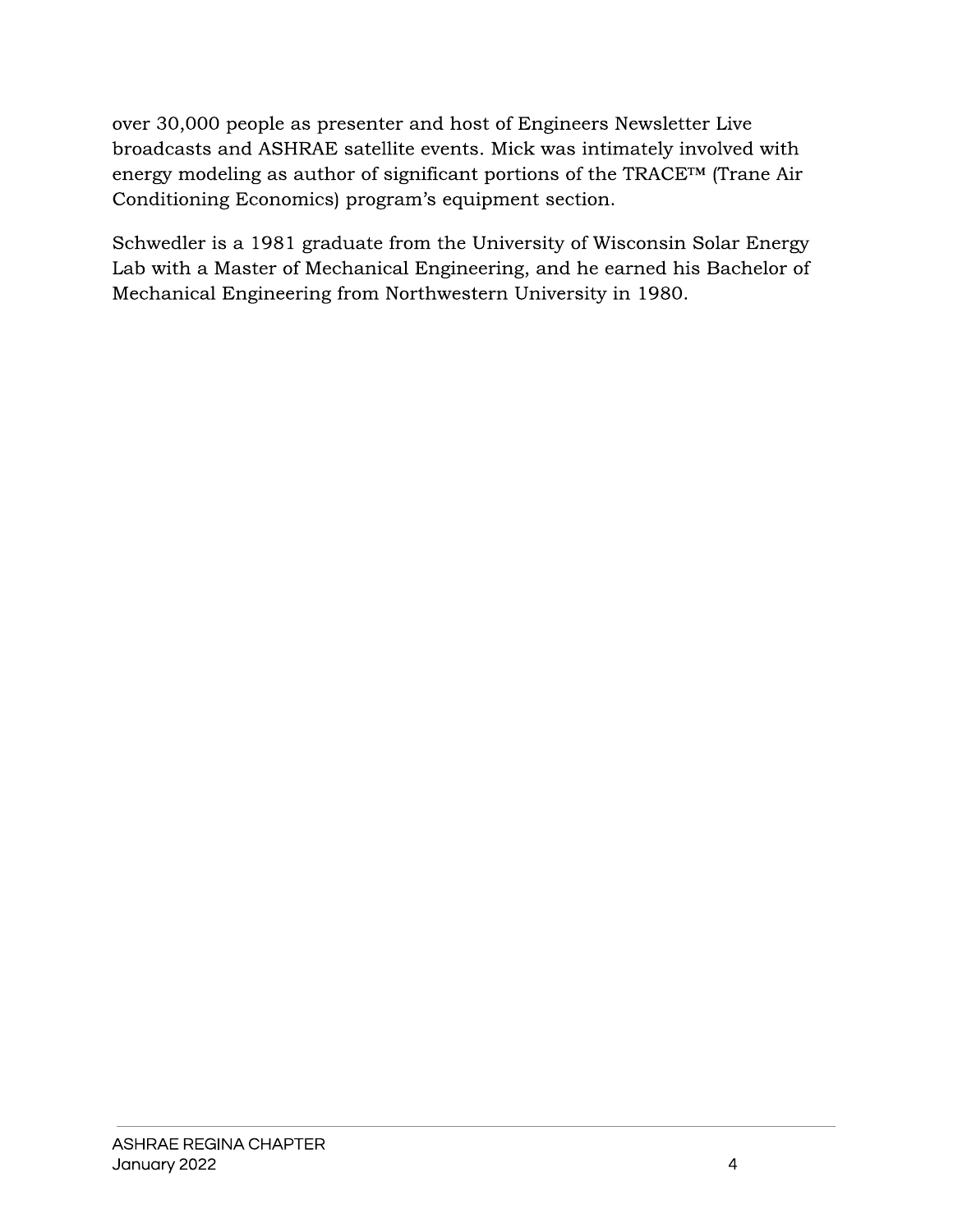over 30,000 people as presenter and host of Engineers Newsletter Live broadcasts and ASHRAE satellite events. Mick was intimately involved with energy modeling as author of significant portions of the TRACETM (Trane Air Conditioning Economics) program's equipment section.

Schwedler is a 1981 graduate from the University of Wisconsin Solar Energy Lab with a Master of Mechanical Engineering, and he earned his Bachelor of Mechanical Engineering from Northwestern University in 1980.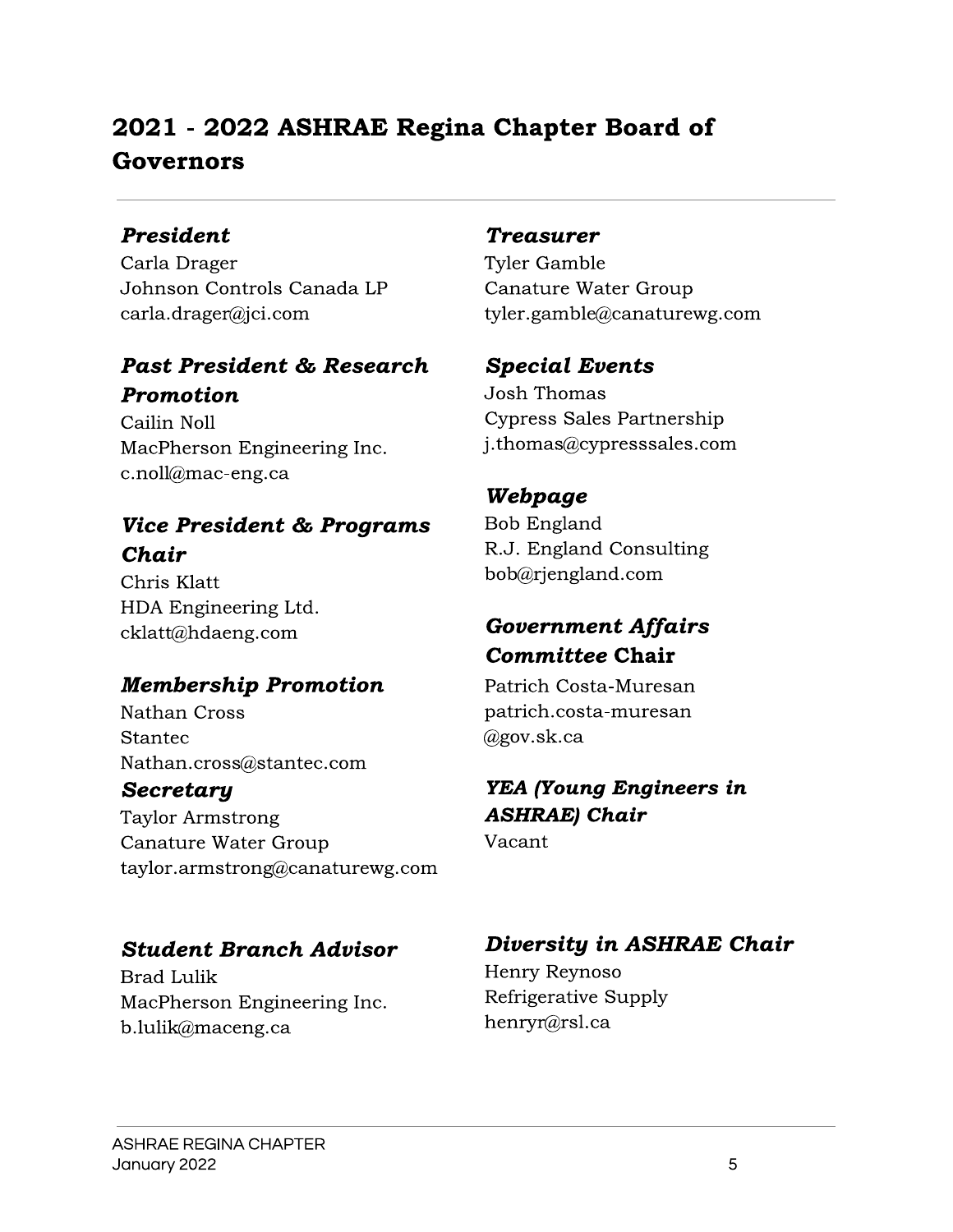## 2021 - 2022 ASHRAE Regina Chapter Board of Governors

#### **President**

Carla Drager Johnson Controls Canada LP  $cardia.drager@jci.com$ 

#### Past President & Research Promotion

Cailin Noll MacPherson Engineering Inc. c.noll@mac-eng.ca

## **Vice President & Programs** Chair

Chris Klatt HDA Engineering Ltd. cklatt@hdaeng.com

## **Membership Promotion**

Nathan Cross **Stantec** Nathan.cross@stantec.com

#### Secretary

**Taylor Armstrong** Canature Water Group taylor.armstrong@canaturewg.com

## **Student Branch Advisor**

**Brad Lulik** MacPherson Engineering Inc. b.lulik@maceng.ca

#### **Treasurer**

**Tyler Gamble** Canature Water Group tyler.gamble@canaturewg.com

#### **Special Events**

**Josh Thomas Cypress Sales Partnership** j.thomas@cypresssales.com

## Webpage

**Bob England** R.J. England Consulting bob@rjengland.com

## **Government Affairs Committee Chair**

Patrich Costa-Muresan patrich.costa-muresan  $(a)$ gov.sk.ca

## **YEA (Young Engineers in ASHRAE**) Chair

Vacant

## Diversity in ASHRAE Chair

Henry Reynoso Refrigerative Supply henryr@rsl.ca